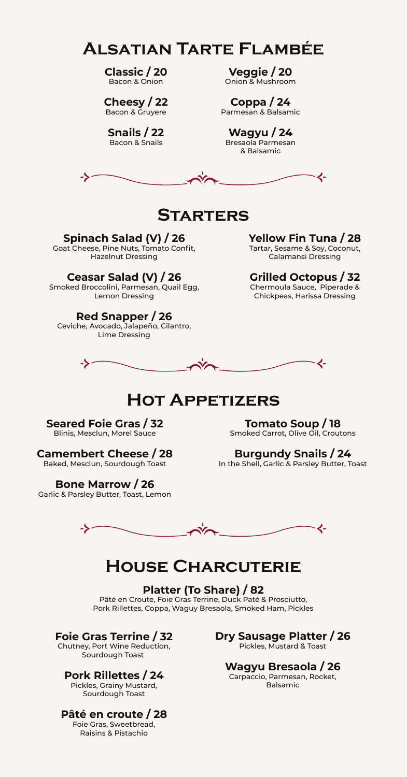# **Alsatian Tarte Flambée**

**Classic / 20** Bacon & Onion

**Cheesy / 22** Bacon & Gruyere

**Snails / 22** Bacon & Snails

**Veggie / 20** Onion & Mushroom

**Coppa / 24** Parmesan & Balsamic

**Wagyu / 24** Bresaola Parmesan & Balsamic



## **Starters**

### **Spinach Salad (V) / 26**

Goat Cheese, Pine Nuts, Tomato Confit, Hazelnut Dressing

## **Ceasar Salad (V) / 26**

Smoked Broccolini, Parmesan, Quail Egg, Lemon Dressing

## **Red Snapper / 26**

Ceviche, Avocado, Jalapeño, Cilantro, Lime Dressing

**Yellow Fin Tuna / 28** Tartar, Sesame & Soy, Coconut, Calamansi Dressing

# **Grilled Octopus / 32**

Chermoula Sauce, Piperade & Chickpeas, Harissa Dressing



## **Hot Appetizers**

**Seared Foie Gras / 32** Blinis, Mesclun, Morel Sauce

**Camembert Cheese / 28** Baked, Mesclun, Sourdough Toast

**Bone Marrow / 26** Garlic & Parsley Butter, Toast, Lemon

**Tomato Soup / 18** Smoked Carrot, Olive Oil, Croutons

**Burgundy Snails / 24** In the Shell, Garlic & Parsley Butter, Toast



## **House Charcuterie**

**Platter (To Share) / 82** Pâté en Croute, Foie Gras Terrine, Duck Paté & Prosciutto, Pork Rillettes, Coppa, Waguy Bresaola, Smoked Ham, Pickles

## **Foie Gras Terrine / 32**

Chutney, Port Wine Reduction, Sourdough Toast

### **Pork Rillettes / 24**

Pickles, Grainy Mustard, Sourdough Toast

## **Pâté en croute / 28**

Foie Gras, Sweetbread, Raisins & Pistachio

**Dry Sausage Platter / 26** Pickles, Mustard & Toast

## **Wagyu Bresaola / 26**

Carpaccio, Parmesan, Rocket, Balsamic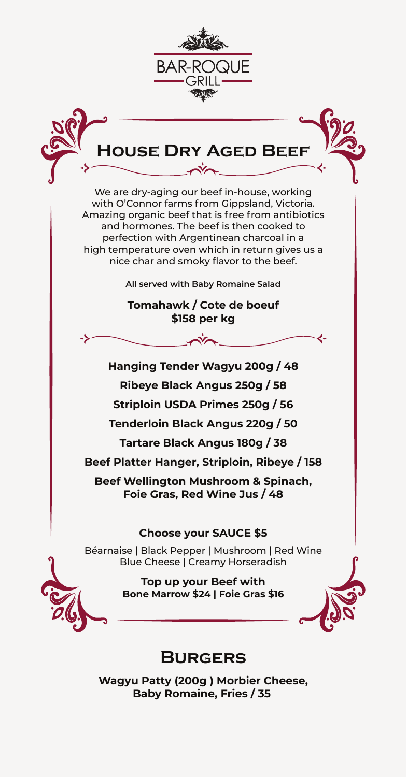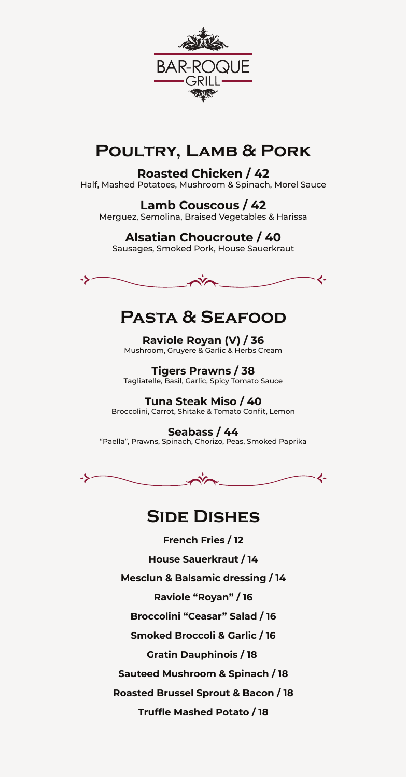

# **Poultry, Lamb & Pork**

## **Roasted Chicken / 42**

Half, Mashed Potatoes, Mushroom & Spinach, Morel Sauce

**Lamb Couscous / 42** Merguez, Semolina, Braised Vegetables & Harissa

## **Alsatian Choucroute / 40**

Sausages, Smoked Pork, House Sauerkraut



# **Pasta & Seafood**

**Raviole Royan (V) / 36** Mushroom, Gruyere & Garlic & Herbs Cream

**Tigers Prawns / 38** Tagliatelle, Basil, Garlic, Spicy Tomato Sauce

**Tuna Steak Miso / 40** Broccolini, Carrot, Shitake & Tomato Confit, Lemon

**Seabass / 44** "Paella", Prawns, Spinach, Chorizo, Peas, Smoked Paprika



## **Side Dishes**

**French Fries / 12 House Sauerkraut / 14 Mesclun & Balsamic dressing / 14 Raviole "Royan" / 16 Broccolini "Ceasar" Salad / 16 Smoked Broccoli & Garlic / 16 Gratin Dauphinois / 18 Sauteed Mushroom & Spinach / 18 Roasted Brussel Sprout & Bacon / 18**

**Truffle Mashed Potato / 18**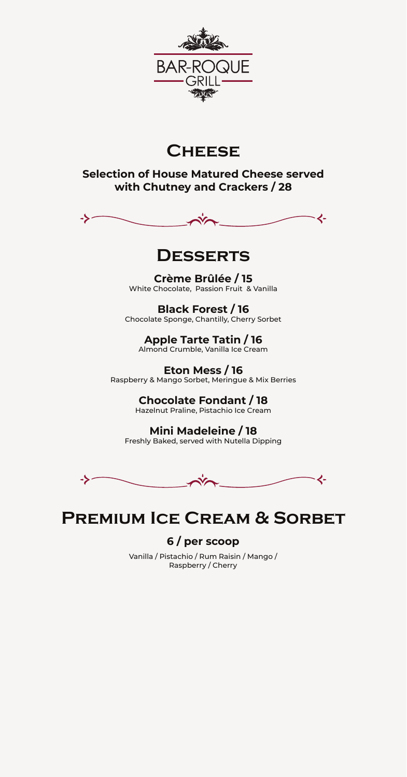

# **Cheese**

## **Selection of House Matured Cheese served with Chutney and Crackers / 28**



## **Desserts**

**Crème Brûlée / 15** White Chocolate, Passion Fruit & Vanilla

**Black Forest / 16** Chocolate Sponge, Chantilly, Cherry Sorbet

**Apple Tarte Tatin / 16** Almond Crumble, Vanilla Ice Cream

**Eton Mess / 16** Raspberry & Mango Sorbet, Meringue & Mix Berries

> **Chocolate Fondant / 18** Hazelnut Praline, Pistachio Ice Cream

**Mini Madeleine / 18** Freshly Baked, served with Nutella Dipping



# **Premium Ice Cream & Sorbet**

## **6 / per scoop**

Vanilla / Pistachio / Rum Raisin / Mango / Raspberry / Cherry